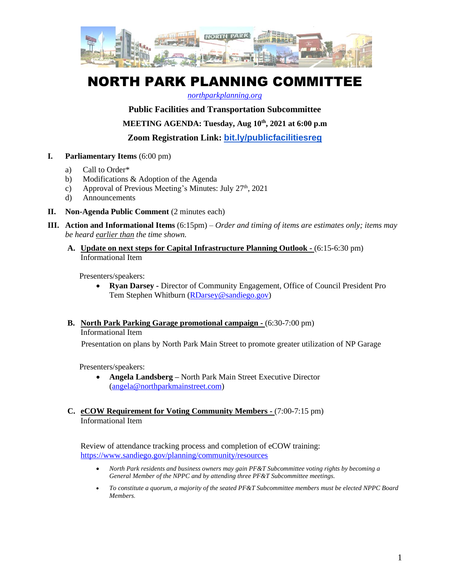

# NORTH PARK PLANNING COMMITTEE

## *[northparkplanning.org](http://www.northparkplanning.org/)*

**Public Facilities and Transportation Subcommittee**

**MEETING AGENDA: Tuesday, Aug 10th, 2021 at 6:00 p.m**

**Zoom Registration Link: [bit.ly/publicfacilitiesreg](http://bit.ly/publicfacilitiesreg)**

- **I. Parliamentary Items** (6:00 pm)
	- a) Call to Order\*
	- b) Modifications & Adoption of the Agenda
	- c) Approval of Previous Meeting's Minutes: July  $27<sup>th</sup>$ ,  $2021$
	- d) Announcements
- **II. Non-Agenda Public Comment** (2 minutes each)
- **III. Action and Informational Items** (6:15pm) *Order and timing of items are estimates only; items may be heard earlier than the time shown.*
	- **A. Update on next steps for Capital Infrastructure Planning Outlook -** (6:15-6:30 pm) Informational Item

Presenters/speakers:

- **Ryan Darsey -** Director of Community Engagement, Office of Council President Pro Tem Stephen Whitburn [\(RDarsey@sandiego.gov\)](mailto:RDarsey@sandiego.gov)
- **B. North Park Parking Garage promotional campaign -** (6:30-7:00 pm)

Informational Item

Presentation on plans by North Park Main Street to promote greater utilization of NP Garage

Presenters/speakers:

- **Angela Landsberg –** North Park Main Street Executive Director [\(angela@northparkmainstreet.com\)](mailto:angela@northparkmainstreet.com)
- **C. eCOW Requirement for Voting Community Members -** (7:00-7:15 pm) Informational Item

Review of attendance tracking process and completion of eCOW training: <https://www.sandiego.gov/planning/community/resources>

- *North Park residents and business owners may gain PF&T Subcommittee voting rights by becoming a General Member of the NPPC and by attending three PF&T Subcommittee meetings.*
- *To constitute a quorum, a majority of the seated PF&T Subcommittee members must be elected NPPC Board Members.*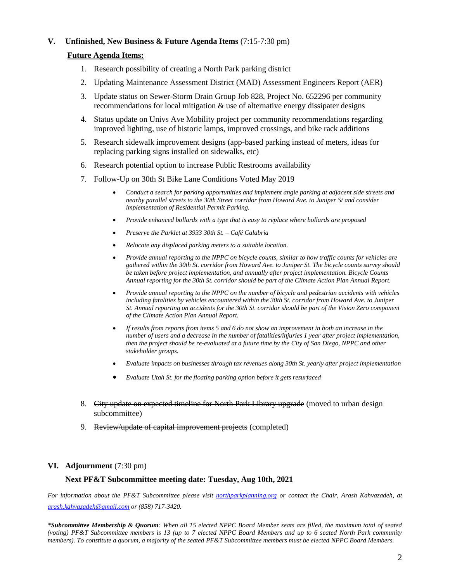## **V. Unfinished, New Business & Future Agenda Items** (7:15-7:30 pm)

## **Future Agenda Items:**

- 1. Research possibility of creating a North Park parking district
- 2. Updating Maintenance Assessment District (MAD) Assessment Engineers Report (AER)
- 3. Update status on Sewer-Storm Drain Group Job 828, Project No. 652296 per community recommendations for local mitigation & use of alternative energy dissipater designs
- 4. Status update on Univs Ave Mobility project per community recommendations regarding improved lighting, use of historic lamps, improved crossings, and bike rack additions
- 5. Research sidewalk improvement designs (app-based parking instead of meters, ideas for replacing parking signs installed on sidewalks, etc)
- 6. Research potential option to increase Public Restrooms availability
- 7. Follow-Up on 30th St Bike Lane Conditions Voted May 2019
	- *Conduct a search for parking opportunities and implement angle parking at adjacent side streets and nearby parallel streets to the 30th Street corridor from Howard Ave. to Juniper St and consider implementation of Residential Permit Parking.*
	- *Provide enhanced bollards with a type that is easy to replace where bollards are proposed*
	- *Preserve the Parklet at 3933 30th St. – Café Calabria*
	- *Relocate any displaced parking meters to a suitable location.*
	- *Provide annual reporting to the NPPC on bicycle counts, similar to how traffic counts for vehicles are gathered within the 30th St. corridor from Howard Ave. to Juniper St. The bicycle counts survey should be taken before project implementation, and annually after project implementation. Bicycle Counts Annual reporting for the 30th St. corridor should be part of the Climate Action Plan Annual Report.*
	- *Provide annual reporting to the NPPC on the number of bicycle and pedestrian accidents with vehicles including fatalities by vehicles encountered within the 30th St. corridor from Howard Ave. to Juniper St. Annual reporting on accidents for the 30th St. corridor should be part of the Vision Zero component of the Climate Action Plan Annual Report.*
	- *If results from reports from items 5 and 6 do not show an improvement in both an increase in the number of users and a decrease in the number of fatalities/injuries 1 year after project implementation, then the project should be re-evaluated at a future time by the City of San Diego, NPPC and other stakeholder groups.*
	- *Evaluate impacts on businesses through tax revenues along 30th St. yearly after project implementation*
	- *Evaluate Utah St. for the floating parking option before it gets resurfaced*
- 8. City update on expected timeline for North Park Library upgrade (moved to urban design subcommittee)
- 9. Review/update of capital improvement projects (completed)

#### **VI. Adjournment** (7:30 pm)

#### **Next PF&T Subcommittee meeting date: Tuesday, Aug 10th, 2021**

*For information about the PF&T Subcommittee please visit [northparkplanning.org](http://www.northparkplanning.org/) or contact the Chair, Arash Kahvazadeh, at [arash.kahvazadeh@gmail.com](mailto:arash.kahvazadeh@gmail.com) or (858) 717-3420.*

*\*Subcommittee Membership & Quorum: When all 15 elected NPPC Board Member seats are filled, the maximum total of seated (voting) PF&T Subcommittee members is 13 (up to 7 elected NPPC Board Members and up to 6 seated North Park community members). To constitute a quorum, a majority of the seated PF&T Subcommittee members must be elected NPPC Board Members.*